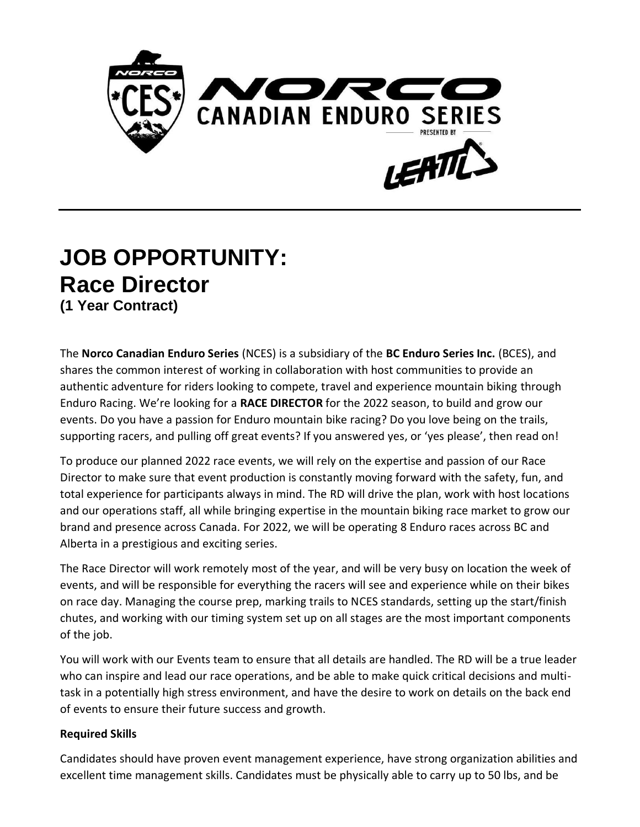

# **JOB OPPORTUNITY: Race Director**

**(1 Year Contract)**

The **Norco Canadian Enduro Series** (NCES) is a subsidiary of the **BC Enduro Series Inc.** (BCES), and shares the common interest of working in collaboration with host communities to provide an authentic adventure for riders looking to compete, travel and experience mountain biking through Enduro Racing. We're looking for a **RACE DIRECTOR** for the 2022 season, to build and grow our events. Do you have a passion for Enduro mountain bike racing? Do you love being on the trails, supporting racers, and pulling off great events? If you answered yes, or 'yes please', then read on!

To produce our planned 2022 race events, we will rely on the expertise and passion of our Race Director to make sure that event production is constantly moving forward with the safety, fun, and total experience for participants always in mind. The RD will drive the plan, work with host locations and our operations staff, all while bringing expertise in the mountain biking race market to grow our brand and presence across Canada. For 2022, we will be operating 8 Enduro races across BC and Alberta in a prestigious and exciting series.

The Race Director will work remotely most of the year, and will be very busy on location the week of events, and will be responsible for everything the racers will see and experience while on their bikes on race day. Managing the course prep, marking trails to NCES standards, setting up the start/finish chutes, and working with our timing system set up on all stages are the most important components of the job.

You will work with our Events team to ensure that all details are handled. The RD will be a true leader who can inspire and lead our race operations, and be able to make quick critical decisions and multitask in a potentially high stress environment, and have the desire to work on details on the back end of events to ensure their future success and growth.

#### **Required Skills**

Candidates should have proven event management experience, have strong organization abilities and excellent time management skills. Candidates must be physically able to carry up to 50 lbs, and be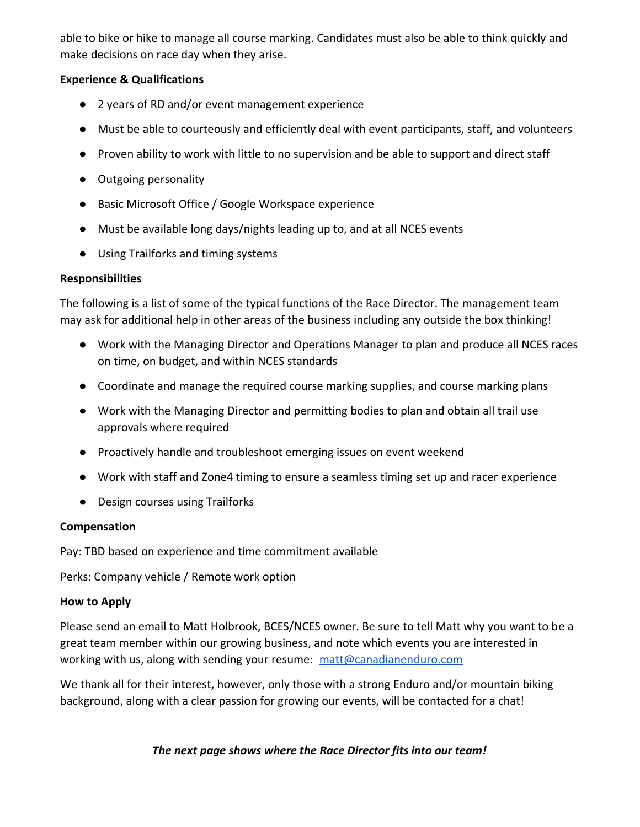able to bike or hike to manage all course marking. Candidates must also be able to think quickly and make decisions on race day when they arise.

#### **Experience & Qualifications**

- 2 years of RD and/or event management experience
- Must be able to courteously and efficiently deal with event participants, staff, and volunteers
- Proven ability to work with little to no supervision and be able to support and direct staff
- Outgoing personality
- Basic Microsoft Office / Google Workspace experience
- Must be available long days/nights leading up to, and at all NCES events
- Using Trailforks and timing systems

#### **Responsibilities**

The following is a list of some of the typical functions of the Race Director. The management team may ask for additional help in other areas of the business including any outside the box thinking!

- Work with the Managing Director and Operations Manager to plan and produce all NCES races on time, on budget, and within NCES standards
- Coordinate and manage the required course marking supplies, and course marking plans
- Work with the Managing Director and permitting bodies to plan and obtain all trail use approvals where required
- Proactively handle and troubleshoot emerging issues on event weekend
- Work with staff and Zone4 timing to ensure a seamless timing set up and racer experience
- Design courses using Trailforks

#### **Compensation**

Pay: TBD based on experience and time commitment available

Perks: Company vehicle / Remote work option

#### **How to Apply**

Please send an email to Matt Holbrook, BCES/NCES owner. Be sure to tell Matt why you want to be a great team member within our growing business, and note which events you are interested in working with us, along with sending your resume: [matt@canadianenduro.com](mailto:matt@canadianenduro.com)

We thank all for their interest, however, only those with a strong Enduro and/or mountain biking background, along with a clear passion for growing our events, will be contacted for a chat!

*The next page shows where the Race Director fits into our team!*